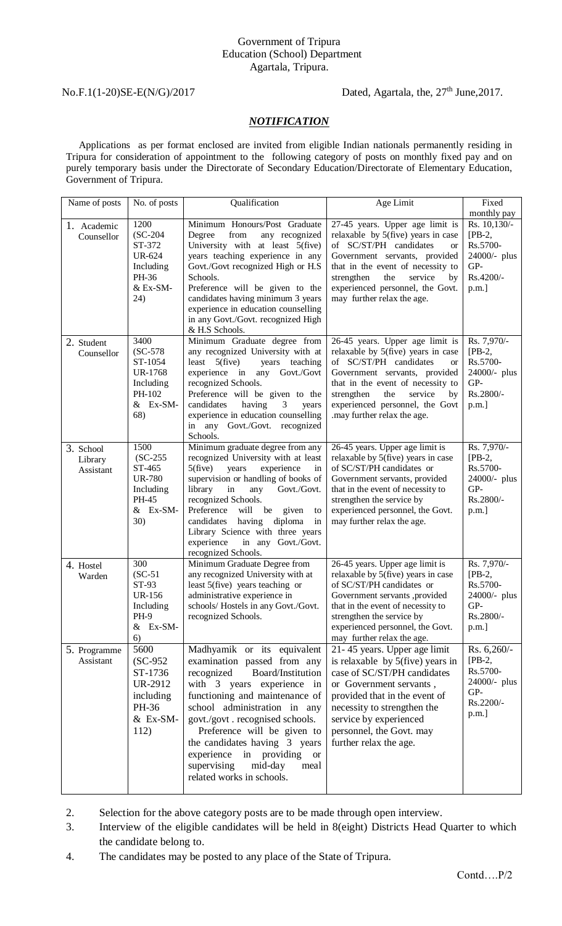### Government of Tripura Education (School) Department Agartala, Tripura.

## No.F.1(1-20)SE-E(N/G)/2017 Dated, Agartala, the, 27<sup>th</sup> June,2017.

#### *NOTIFICATION*

 Applications as per format enclosed are invited from eligible Indian nationals permanently residing in Tripura for consideration of appointment to the following category of posts on monthly fixed pay and on purely temporary basis under the Directorate of Secondary Education/Directorate of Elementary Education, Government of Tripura.

| Name of posts                           | No. of posts                                                                                 | Qualification                                                                                                                                                                                                                                                                                                                                                                                              | Age Limit                                                                                                                                                                                                                                                                                                                     | Fixed                                                                                            |
|-----------------------------------------|----------------------------------------------------------------------------------------------|------------------------------------------------------------------------------------------------------------------------------------------------------------------------------------------------------------------------------------------------------------------------------------------------------------------------------------------------------------------------------------------------------------|-------------------------------------------------------------------------------------------------------------------------------------------------------------------------------------------------------------------------------------------------------------------------------------------------------------------------------|--------------------------------------------------------------------------------------------------|
|                                         |                                                                                              |                                                                                                                                                                                                                                                                                                                                                                                                            |                                                                                                                                                                                                                                                                                                                               | monthly pay                                                                                      |
| 1. Academic<br>Counsellor<br>2. Student | 1200<br>$SC-204$<br>ST-372<br><b>UR-624</b><br>Including<br>PH-36<br>& Ex-SM-<br>24)<br>3400 | Minimum Honours/Post Graduate<br>from<br>Degree<br>any recognized<br>University with at least 5(five)<br>years teaching experience in any<br>Govt./Govt recognized High or H.S<br>Schools.<br>Preference will be given to the<br>candidates having minimum 3 years<br>experience in education counselling<br>in any Govt./Govt. recognized High<br>& H.S Schools.<br>Minimum Graduate degree from          | 27-45 years. Upper age limit is<br>relaxable by 5(five) years in case<br>of SC/ST/PH candidates<br><b>or</b><br>Government servants, provided<br>that in the event of necessity to<br>service<br>strengthen<br>the<br>by<br>experienced personnel, the Govt.<br>may further relax the age.<br>26-45 years. Upper age limit is | Rs. 10,130/-<br>$[PB-2,$<br>Rs.5700-<br>24000/- plus<br>GP-<br>Rs.4200/-<br>p.m.]<br>Rs. 7,970/- |
| Counsellor                              | $SC-578$<br>ST-1054<br><b>UR-1768</b><br>Including<br>PH-102<br>& Ex-SM-<br>68)              | any recognized University with at<br>$5$ (five)<br>least<br>years teaching<br>experience in<br>any Govt./Govt<br>recognized Schools.<br>Preference will be given to the<br>having<br>3<br>candidates<br>years<br>experience in education counselling<br>in any Govt./Govt. recognized<br>Schools.                                                                                                          | relaxable by 5(five) years in case<br>of SC/ST/PH candidates<br><b>or</b><br>Government servants, provided<br>that in the event of necessity to<br>strengthen<br>service<br>the<br>by<br>experienced personnel, the Govt<br>.may further relax the age.                                                                       | $[PB-2,$<br>Rs.5700-<br>24000/- plus<br>GP-<br>Rs.2800/-<br>p.m.]                                |
| 3. School<br>Library<br>Assistant       | 1500<br>$SC-255$<br>ST-465<br><b>UR-780</b><br>Including<br>PH-45<br>$&\text{Ex-SM-}$<br>30) | Minimum graduate degree from any<br>recognized University with at least<br>$5$ (five)<br>experience<br>years<br>in<br>supervision or handling of books of<br>library<br>Govt./Govt.<br>in<br>any<br>recognized Schools.<br>Preference<br>will<br>be<br>given<br>to<br>having<br>diploma<br>in<br>candidates<br>Library Science with three years<br>experience<br>in any Govt./Govt.<br>recognized Schools. | 26-45 years. Upper age limit is<br>relaxable by 5(five) years in case<br>of SC/ST/PH candidates or<br>Government servants, provided<br>that in the event of necessity to<br>strengthen the service by<br>experienced personnel, the Govt.<br>may further relax the age.                                                       | Rs. 7,970/-<br>$[PB-2,$<br>Rs.5700-<br>24000/- plus<br>GP-<br>Rs.2800/-<br>p.m.]                 |
| 4. Hostel<br>Warden                     | 300<br>$(SC-51)$<br>ST-93<br><b>UR-156</b><br>Including<br>PH-9<br>$\&$ Ex-SM-<br>6)         | Minimum Graduate Degree from<br>any recognized University with at<br>least 5(five) years teaching or<br>administrative experience in<br>schools/ Hostels in any Govt./Govt.<br>recognized Schools.                                                                                                                                                                                                         | 26-45 years. Upper age limit is<br>relaxable by 5(five) years in case<br>of SC/ST/PH candidates or<br>Government servants ,provided<br>that in the event of necessity to<br>strengthen the service by<br>experienced personnel, the Govt.<br>may further relax the age.                                                       | Rs. 7,970/-<br>$[PB-2,$<br>Rs.5700-<br>24000/- plus<br>$GP-$<br>Rs.2800/-<br>p.m.]               |
| 5. Programme<br>Assistant               | 5600<br>$SC-952$<br>ST-1736<br>UR-2912<br>including<br>PH-36<br>& Ex-SM-<br>112)             | Madhyamik or its equivalent<br>examination passed from any<br>Board/Institution<br>recognized<br>with 3 years experience in<br>functioning and maintenance of<br>school administration in any<br>govt./govt.recognised schools.<br>Preference will be given to<br>the candidates having 3 years<br>experience in providing<br><b>or</b><br>supervising<br>mid-day<br>meal<br>related works in schools.     | 21-45 years. Upper age limit<br>is relaxable by $5$ (five) years in<br>case of SC/ST/PH candidates<br>or Government servants,<br>provided that in the event of<br>necessity to strengthen the<br>service by experienced<br>personnel, the Govt. may<br>further relax the age.                                                 | Rs. 6,260/-<br>$[PB-2,$<br>Rs.5700-<br>24000/- plus<br>GP-<br>Rs.2200/-<br>p.m.]                 |

- 2. Selection for the above category posts are to be made through open interview.
- 3. Interview of the eligible candidates will be held in 8(eight) Districts Head Quarter to which the candidate belong to.
- 4. The candidates may be posted to any place of the State of Tripura.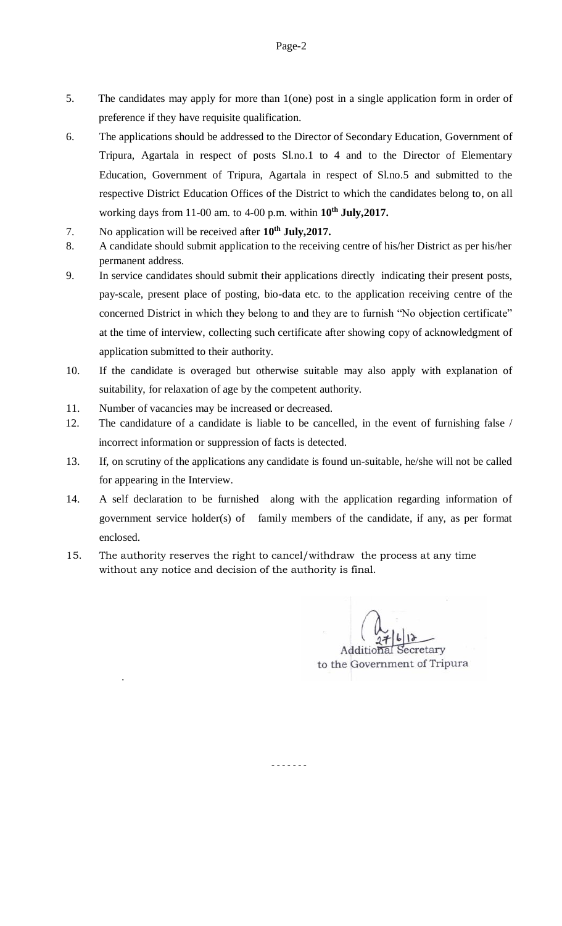- 5. The candidates may apply for more than 1(one) post in a single application form in order of preference if they have requisite qualification.
- 6. The applications should be addressed to the Director of Secondary Education, Government of Tripura, Agartala in respect of posts Sl.no.1 to 4 and to the Director of Elementary Education, Government of Tripura, Agartala in respect of Sl.no.5 and submitted to the respective District Education Offices of the District to which the candidates belong to, on all working days from 11-00 am. to 4-00 p.m. within **10th July,2017.**
- 7. No application will be received after **10th July,2017.**
- 8. A candidate should submit application to the receiving centre of his/her District as per his/her permanent address.
- 9. In service candidates should submit their applications directly indicating their present posts, pay-scale, present place of posting, bio-data etc. to the application receiving centre of the concerned District in which they belong to and they are to furnish "No objection certificate" at the time of interview, collecting such certificate after showing copy of acknowledgment of application submitted to their authority.
- 10. If the candidate is overaged but otherwise suitable may also apply with explanation of suitability, for relaxation of age by the competent authority.
- 11. Number of vacancies may be increased or decreased.

.

- 12. The candidature of a candidate is liable to be cancelled, in the event of furnishing false / incorrect information or suppression of facts is detected.
- 13. If, on scrutiny of the applications any candidate is found un-suitable, he/she will not be called for appearing in the Interview.
- 14. A self declaration to be furnished along with the application regarding information of government service holder(s) of family members of the candidate, if any, as per format enclosed.

- - - - - - -

15. The authority reserves the right to cancel/withdraw the process at any time without any notice and decision of the authority is final.

**Additional Secretary** to the Government of Tripura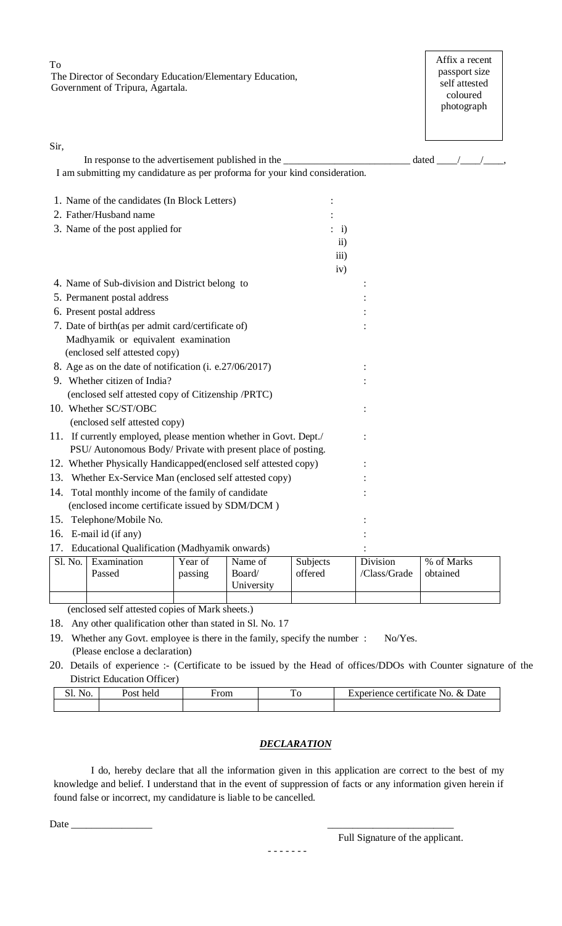To The Director of Secondary Education/Elementary Education, Government of Tripura, Agartala.

Affix a recent passport size self attested coloured photograph

|                                                                   | In response to the advertisement published in the                           |         |            |           |                    | dated $\frac{\sqrt{1-\frac{1}{2}}}{\sqrt{1-\frac{1}{2}}}$ |
|-------------------------------------------------------------------|-----------------------------------------------------------------------------|---------|------------|-----------|--------------------|-----------------------------------------------------------|
|                                                                   | I am submitting my candidature as per proforma for your kind consideration. |         |            |           |                    |                                                           |
|                                                                   | 1. Name of the candidates (In Block Letters)                                |         |            |           |                    |                                                           |
|                                                                   | 2. Father/Husband name                                                      |         |            |           |                    |                                                           |
| 3. Name of the post applied for                                   |                                                                             |         |            | $\div$ i) |                    |                                                           |
|                                                                   |                                                                             |         |            |           | $\ddot{\text{1}}$  |                                                           |
|                                                                   |                                                                             |         |            |           | $\overline{iii}$ ) |                                                           |
|                                                                   |                                                                             |         |            |           | iv)                |                                                           |
|                                                                   | 4. Name of Sub-division and District belong to                              |         |            |           |                    |                                                           |
|                                                                   | 5. Permanent postal address                                                 |         |            |           |                    |                                                           |
| 6. Present postal address                                         |                                                                             |         |            |           |                    |                                                           |
|                                                                   | 7. Date of birth(as per admit card/certificate of)                          |         |            |           |                    |                                                           |
|                                                                   | Madhyamik or equivalent examination                                         |         |            |           |                    |                                                           |
|                                                                   | (enclosed self attested copy)                                               |         |            |           |                    |                                                           |
|                                                                   | 8. Age as on the date of notification (i. e.27/06/2017)                     |         |            |           |                    |                                                           |
|                                                                   | 9. Whether citizen of India?                                                |         |            |           |                    |                                                           |
|                                                                   | (enclosed self attested copy of Citizenship /PRTC)                          |         |            |           |                    |                                                           |
|                                                                   | 10. Whether SC/ST/OBC                                                       |         |            |           |                    |                                                           |
|                                                                   | (enclosed self attested copy)                                               |         |            |           |                    |                                                           |
| 11. If currently employed, please mention whether in Govt. Dept./ |                                                                             |         |            |           |                    |                                                           |
|                                                                   | PSU/ Autonomous Body/ Private with present place of posting.                |         |            |           |                    |                                                           |
|                                                                   | 12. Whether Physically Handicapped(enclosed self attested copy)             |         |            |           |                    |                                                           |
|                                                                   | 13. Whether Ex-Service Man (enclosed self attested copy)                    |         |            |           |                    |                                                           |
|                                                                   | 14. Total monthly income of the family of candidate                         |         |            |           |                    |                                                           |
|                                                                   | (enclosed income certificate issued by SDM/DCM)                             |         |            |           |                    |                                                           |
|                                                                   | 15. Telephone/Mobile No.                                                    |         |            |           |                    |                                                           |
|                                                                   | 16. E-mail id (if any)                                                      |         |            |           |                    |                                                           |
| 17.                                                               | Educational Qualification (Madhyamik onwards)                               |         |            |           |                    |                                                           |
| Sl. No.                                                           | Examination                                                                 | Year of | Name of    | Subjects  | Division           | % of Marks                                                |
|                                                                   | Passed                                                                      | passing | Board/     | offered   | /Class/Grade       | obtained                                                  |
|                                                                   |                                                                             |         | University |           |                    |                                                           |

(enclosed self attested copies of Mark sheets.)

18. Any other qualification other than stated in Sl. No. 17

19. Whether any Govt. employee is there in the family, specify the number : No/Yes. (Please enclose a declaration)

20. Details of experience :- (Certificate to be issued by the Head of offices/DDOs with Counter signature of the District Education Officer)

| NO. | held<br><b>POST</b> | ∀rom<br>----- | —<br>$\sim$ | .<br>$\chi_{\tau}$<br>Jate<br>ixperience<br>certificate<br>N <sub>O</sub> |
|-----|---------------------|---------------|-------------|---------------------------------------------------------------------------|
|     |                     |               |             |                                                                           |

## *DECLARATION*

I do, hereby declare that all the information given in this application are correct to the best of my knowledge and belief. I understand that in the event of suppression of facts or any information given herein if found false or incorrect, my candidature is liable to be cancelled.

Date \_\_\_\_\_\_\_\_\_\_\_\_\_\_\_\_ \_\_\_\_\_\_\_\_\_\_\_\_\_\_\_\_\_\_\_\_\_\_\_\_\_

Full Signature of the applicant.

- - - - - - -